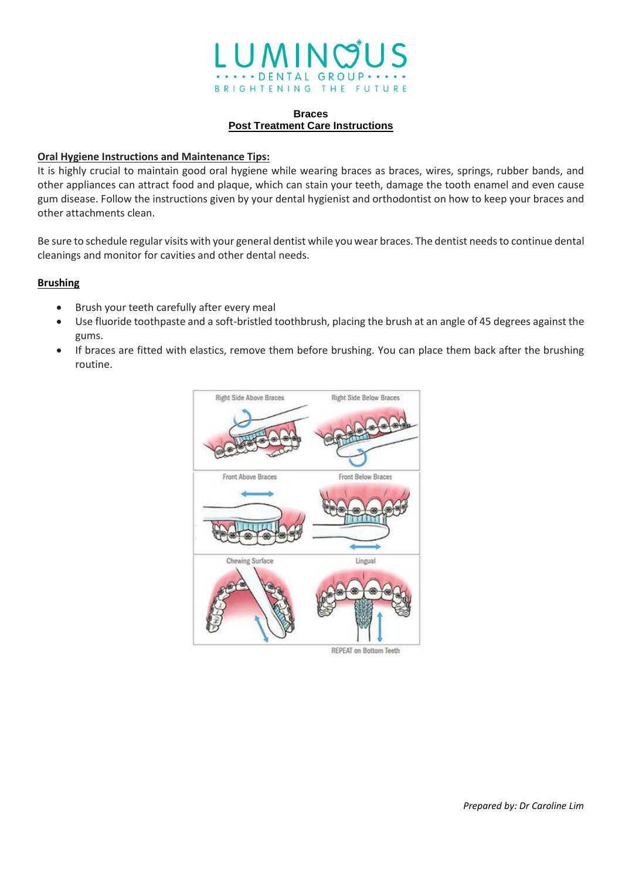

### **Braces Post Treatment Care Instructions**

### **Oral Hygiene Instructions and Maintenance Tips:**

It is highly crucial to maintain good oral hygiene while wearing braces as braces, wires, springs, rubber bands, and other appliances can attract food and plaque, which can stain your teeth, damage the tooth enamel and even cause gum disease. Follow the instructions given by your dental hygienist and orthodontist on how to keep your braces and other attachments clean.

Be sure to schedule regular visits with your general dentist while you wear braces. The dentist needs to continue dental cleanings and monitor for cavities and other dental needs.

### **Brushing**

- Brush your teeth carefully after every meal
- Use fluoride toothpaste and a soft-bristled toothbrush, placing the brush at an angle of 45 degrees against the gums.
- If braces are fitted with elastics, remove them before brushing. You can place them back after the brushing routine.

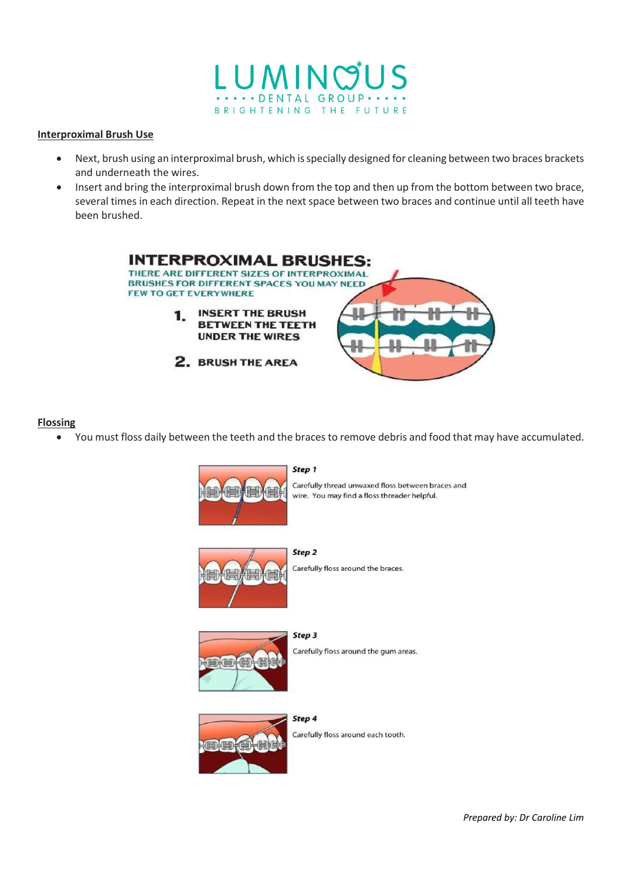

#### **Interproximal Brush Use**

- Next, brush using an interproximal brush, which is specially designed for cleaning between two braces brackets and underneath the wires.
- Insert and bring the interproximal brush down from the top and then up from the bottom between two brace, several times in each direction. Repeat in the next space between two braces and continue until all teeth have been brushed.



#### **Flossing**

• You must floss daily between the teeth and the braces to remove debris and food that may have accumulated.



#### Step 1

Carefully thread unwaxed floss between braces and wire. You may find a floss threader helpful.



Carefully floss around the braces.



Step 3 Carefully floss around the gum areas.



Carefully floss around each tooth.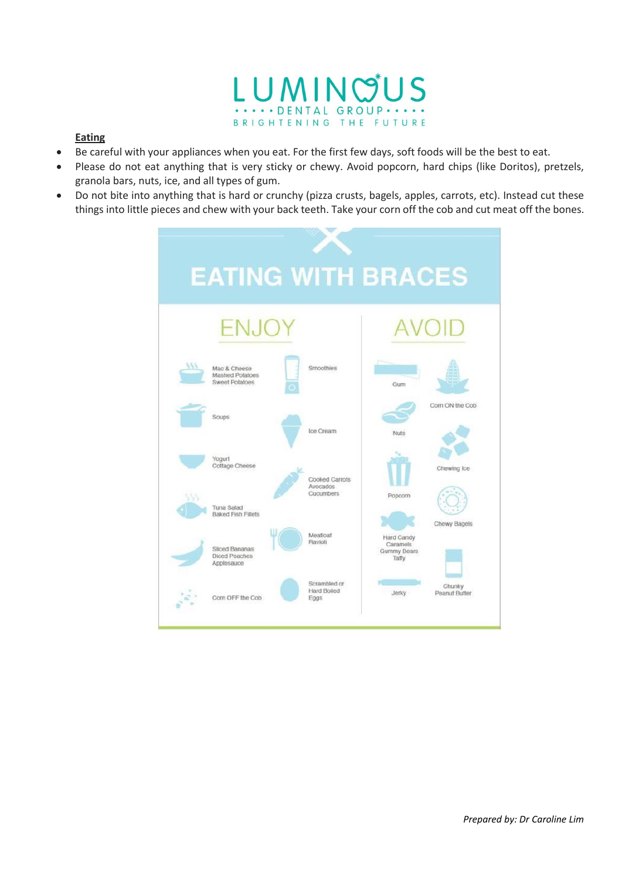

## **Eating**

- Be careful with your appliances when you eat. For the first few days, soft foods will be the best to eat.
- Please do not eat anything that is very sticky or chewy. Avoid popcorn, hard chips (like Doritos), pretzels, granola bars, nuts, ice, and all types of gum.
- Do not bite into anything that is hard or crunchy (pizza crusts, bagels, apples, carrots, etc). Instead cut these things into little pieces and chew with your back teeth. Take your corn off the cob and cut meat off the bones.